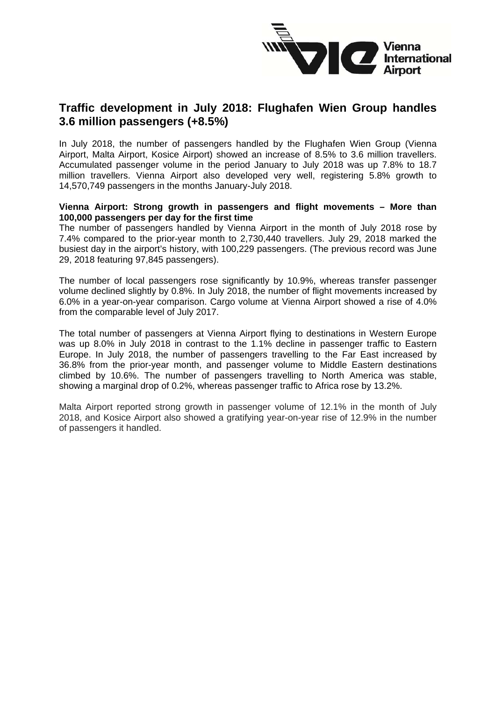

## **Traffic development in July 2018: Flughafen Wien Group handles 3.6 million passengers (+8.5%)**

In July 2018, the number of passengers handled by the Flughafen Wien Group (Vienna Airport, Malta Airport, Kosice Airport) showed an increase of 8.5% to 3.6 million travellers. Accumulated passenger volume in the period January to July 2018 was up 7.8% to 18.7 million travellers. Vienna Airport also developed very well, registering 5.8% growth to 14,570,749 passengers in the months January-July 2018.

#### **Vienna Airport: Strong growth in passengers and flight movements – More than 100,000 passengers per day for the first time**

The number of passengers handled by Vienna Airport in the month of July 2018 rose by 7.4% compared to the prior-year month to 2,730,440 travellers. July 29, 2018 marked the busiest day in the airport's history, with 100,229 passengers. (The previous record was June 29, 2018 featuring 97,845 passengers).

The number of local passengers rose significantly by 10.9%, whereas transfer passenger volume declined slightly by 0.8%. In July 2018, the number of flight movements increased by 6.0% in a year-on-year comparison. Cargo volume at Vienna Airport showed a rise of 4.0% from the comparable level of July 2017.

The total number of passengers at Vienna Airport flying to destinations in Western Europe was up 8.0% in July 2018 in contrast to the 1.1% decline in passenger traffic to Eastern Europe. In July 2018, the number of passengers travelling to the Far East increased by 36.8% from the prior-year month, and passenger volume to Middle Eastern destinations climbed by 10.6%. The number of passengers travelling to North America was stable, showing a marginal drop of 0.2%, whereas passenger traffic to Africa rose by 13.2%.

Malta Airport reported strong growth in passenger volume of 12.1% in the month of July 2018, and Kosice Airport also showed a gratifying year-on-year rise of 12.9% in the number of passengers it handled.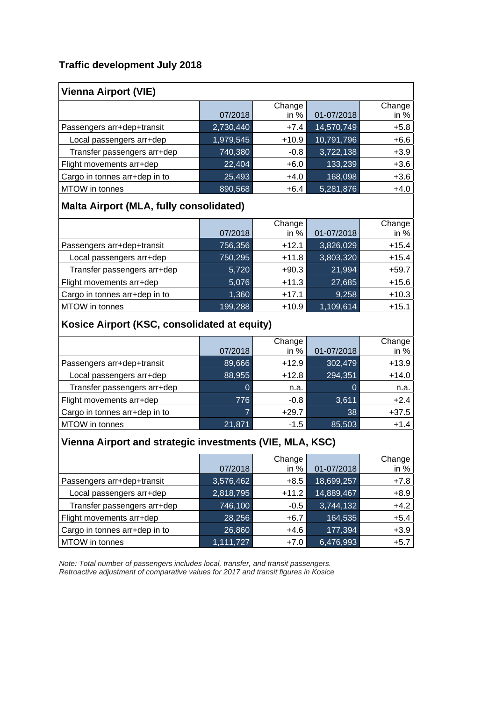### **Traffic development July 2018**

| <b>Vienna Airport (VIE)</b>   |           |                  |            |                |
|-------------------------------|-----------|------------------|------------|----------------|
|                               | 07/2018   | Change<br>in $%$ | 01-07/2018 | Change<br>in % |
| Passengers arr+dep+transit    | 2,730,440 | $+7.4$           | 14,570,749 | $+5.8$         |
| Local passengers arr+dep      | 1,979,545 | $+10.9$          | 10,791,796 | $+6.6$         |
| Transfer passengers arr+dep   | 740,380   | $-0.8$           | 3,722,138  | $+3.9$         |
| Flight movements arr+dep      | 22,404    | $+6.0$           | 133,239    | $+3.6$         |
| Cargo in tonnes arr+dep in to | 25,493    | $+4.0$           | 168,098    | $+3.6$         |
| MTOW in tonnes                | 890,568   | $+6.4$           | 5,281,876  | $+4.0$         |

# **Malta Airport (MLA, fully consolidated)**

|                               |         | Change  |            | Change  |
|-------------------------------|---------|---------|------------|---------|
|                               | 07/2018 | in $%$  | 01-07/2018 | in $%$  |
| Passengers arr+dep+transit    | 756,356 | $+12.1$ | 3,826,029  | $+15.4$ |
| Local passengers arr+dep      | 750,295 | $+11.8$ | 3,803,320  | $+15.4$ |
| Transfer passengers arr+dep   | 5,720   | $+90.3$ | 21,994     | $+59.7$ |
| Flight movements arr+dep      | 5,076   | $+11.3$ | 27,685     | $+15.6$ |
| Cargo in tonnes arr+dep in to | 1,360   | $+17.1$ | 9,258      | $+10.3$ |
| MTOW in tonnes                | 199,288 | $+10.9$ | 1,109,614  | $+15.1$ |

# **Kosice Airport (KSC, consolidated at equity)**

|                               |          | Change  |            | Change  |
|-------------------------------|----------|---------|------------|---------|
|                               | 07/2018  | in $%$  | 01-07/2018 | in $%$  |
| Passengers arr+dep+transit    | 89,666   | $+12.9$ | 302,479    | $+13.9$ |
| Local passengers arr+dep      | 88,955   | $+12.8$ | 294,351    | $+14.0$ |
| Transfer passengers arr+dep   | $\Omega$ | n.a.    | 0          | n.a.    |
| Flight movements arr+dep      | 776      | $-0.8$  | 3,611      | $+2.4$  |
| Cargo in tonnes arr+dep in to |          | $+29.7$ | 38         | $+37.5$ |
| MTOW in tonnes                | 21,871   | $-1.5$  | 85,503     | $+1.4$  |

## **Vienna Airport and strategic investments (VIE, MLA, KSC)**

|                               |           | Change  |            | Change |
|-------------------------------|-----------|---------|------------|--------|
|                               | 07/2018   | in $%$  | 01-07/2018 | in $%$ |
| Passengers arr+dep+transit    | 3,576,462 | $+8.5$  | 18,699,257 | $+7.8$ |
| Local passengers arr+dep      | 2,818,795 | $+11.2$ | 14,889,467 | $+8.9$ |
| Transfer passengers arr+dep   | 746,100   | $-0.5$  | 3,744,132  | $+4.2$ |
| Flight movements arr+dep      | 28,256    | $+6.7$  | 164,535    | $+5.4$ |
| Cargo in tonnes arr+dep in to | 26,860    | $+4.6$  | 177,394    | $+3.9$ |
| MTOW in tonnes                | 1,111,727 | $+7.0$  | 6,476,993  | $+5.7$ |

*Note: Total number of passengers includes local, transfer, and transit passengers. Retroactive adjustment of comparative values for 2017 and transit figures in Kosice*